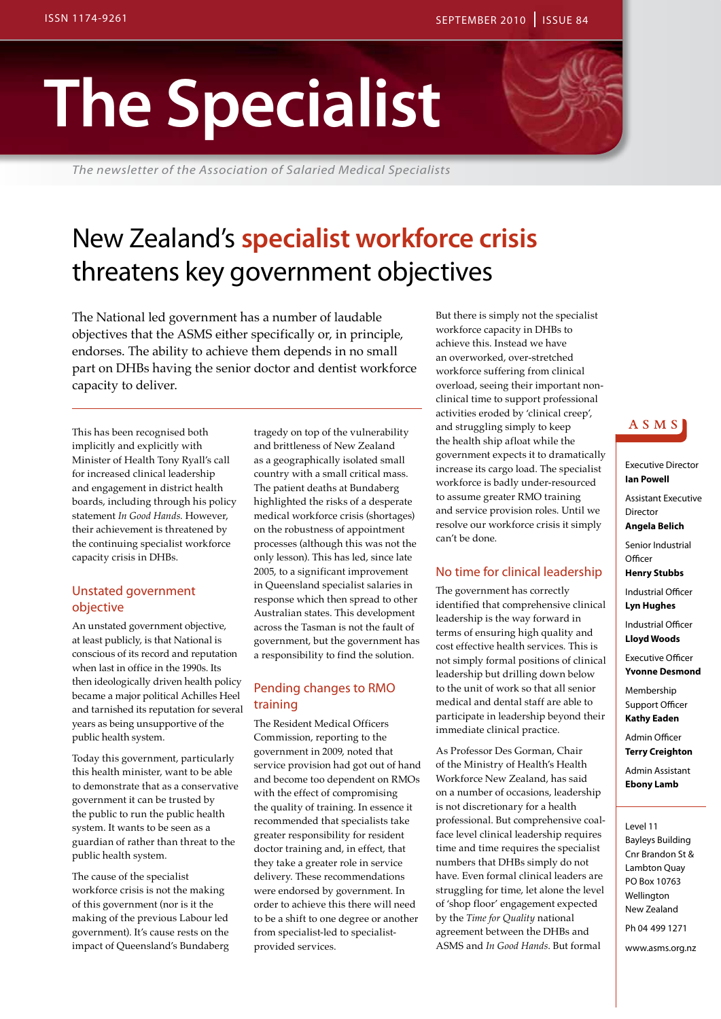# **The Specialist**

*The newsletter of the Association of Salaried Medical Specialists*

### New Zealand's **specialist workforce crisis** threatens key government objectives

The National led government has a number of laudable objectives that the ASMS either specifically or, in principle, endorses. The ability to achieve them depends in no small part on DHBs having the senior doctor and dentist workforce capacity to deliver.

This has been recognised both implicitly and explicitly with Minister of Health Tony Ryall's call for increased clinical leadership and engagement in district health boards, including through his policy statement *In Good Hands*. However, their achievement is threatened by the continuing specialist workforce capacity crisis in DHBs.

#### Unstated government objective

An unstated government objective, at least publicly, is that National is conscious of its record and reputation when last in office in the 1990s. Its then ideologically driven health policy became a major political Achilles Heel and tarnished its reputation for several years as being unsupportive of the public health system.

Today this government, particularly this health minister, want to be able to demonstrate that as a conservative government it can be trusted by the public to run the public health system. It wants to be seen as a guardian of rather than threat to the public health system.

The cause of the specialist workforce crisis is not the making of this government (nor is it the making of the previous Labour led government). It's cause rests on the impact of Queensland's Bundaberg

tragedy on top of the vulnerability and brittleness of New Zealand as a geographically isolated small country with a small critical mass. The patient deaths at Bundaberg highlighted the risks of a desperate medical workforce crisis (shortages) on the robustness of appointment processes (although this was not the only lesson). This has led, since late 2005, to a significant improvement in Queensland specialist salaries in response which then spread to other Australian states. This development across the Tasman is not the fault of government, but the government has a responsibility to find the solution.

#### Pending changes to RMO training

The Resident Medical Officers Commission, reporting to the government in 2009, noted that service provision had got out of hand and become too dependent on RMOs with the effect of compromising the quality of training. In essence it recommended that specialists take greater responsibility for resident doctor training and, in effect, that they take a greater role in service delivery. These recommendations were endorsed by government. In order to achieve this there will need to be a shift to one degree or another from specialist-led to specialistprovided services.

But there is simply not the specialist workforce capacity in DHBs to achieve this. Instead we have an overworked, over-stretched workforce suffering from clinical overload, seeing their important nonclinical time to support professional activities eroded by 'clinical creep', and struggling simply to keep the health ship afloat while the government expects it to dramatically increase its cargo load. The specialist workforce is badly under-resourced to assume greater RMO training and service provision roles. Until we resolve our workforce crisis it simply can't be done.

#### No time for clinical leadership

The government has correctly identified that comprehensive clinical leadership is the way forward in terms of ensuring high quality and cost effective health services. This is not simply formal positions of clinical leadership but drilling down below to the unit of work so that all senior medical and dental staff are able to participate in leadership beyond their immediate clinical practice.

As Professor Des Gorman, Chair of the Ministry of Health's Health Workforce New Zealand, has said on a number of occasions, leadership is not discretionary for a health professional. But comprehensive coalface level clinical leadership requires time and time requires the specialist numbers that DHBs simply do not have. Even formal clinical leaders are struggling for time, let alone the level of 'shop floor' engagement expected by the *Time for Quality* national agreement between the DHBs and ASMS and *In Good Hands*. But formal

#### A S M S

#### Executive Director **Ian Powell** Assistant Executive Director **Angela Belich** Senior Industrial **Officer Henry Stubbs** Industrial Officer **Lyn Hughes** Industrial Officer **Lloyd Woods** Executive Officer **Yvonne Desmond** Membership Support Officer **Kathy Eaden**

Admin Officer **Terry Creighton**

Admin Assistant **Ebony Lamb**

Level 11 Bayleys Building Cnr Brandon St & Lambton Quay PO Box 10763 Wellington New Zealand Ph 04 499 1271

www.asms.org.nz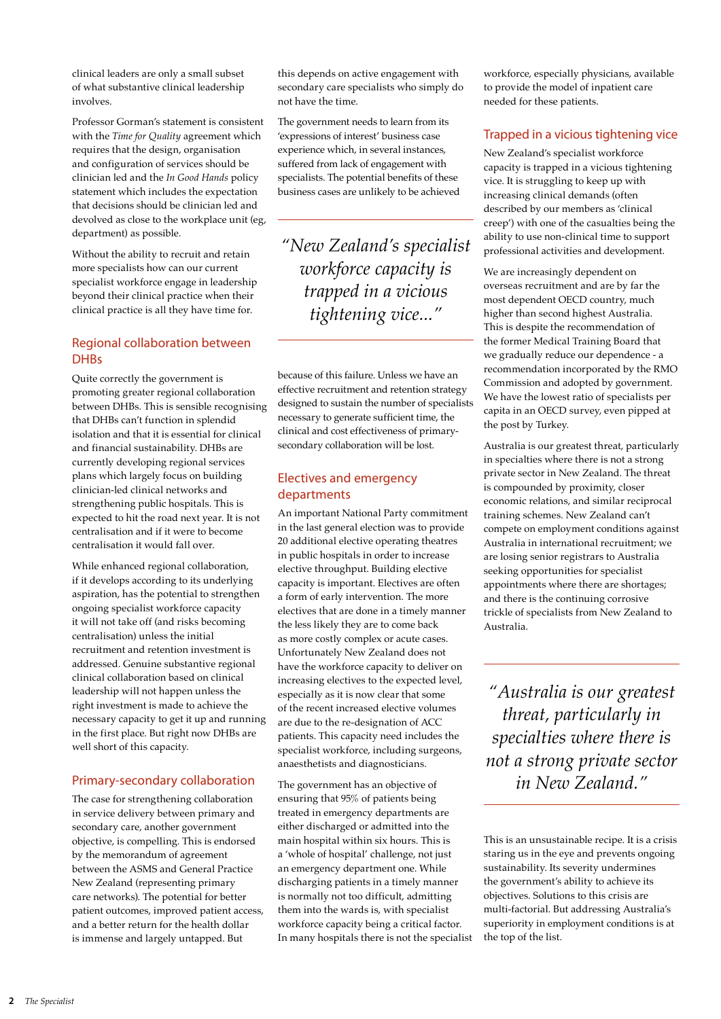clinical leaders are only a small subset of what substantive clinical leadership involves.

Professor Gorman's statement is consistent with the *Time for Quality* agreement which requires that the design, organisation and configuration of services should be clinician led and the *In Good Hands* policy statement which includes the expectation that decisions should be clinician led and devolved as close to the workplace unit (eg, department) as possible.

Without the ability to recruit and retain more specialists how can our current specialist workforce engage in leadership beyond their clinical practice when their clinical practice is all they have time for.

#### Regional collaboration between **DHBs**

Quite correctly the government is promoting greater regional collaboration between DHBs. This is sensible recognising that DHBs can't function in splendid isolation and that it is essential for clinical and financial sustainability. DHBs are currently developing regional services plans which largely focus on building clinician-led clinical networks and strengthening public hospitals. This is expected to hit the road next year. It is not centralisation and if it were to become centralisation it would fall over.

While enhanced regional collaboration, if it develops according to its underlying aspiration, has the potential to strengthen ongoing specialist workforce capacity it will not take off (and risks becoming centralisation) unless the initial recruitment and retention investment is addressed. Genuine substantive regional clinical collaboration based on clinical leadership will not happen unless the right investment is made to achieve the necessary capacity to get it up and running in the first place. But right now DHBs are well short of this capacity.

#### Primary-secondary collaboration

The case for strengthening collaboration in service delivery between primary and secondary care, another government objective, is compelling. This is endorsed by the memorandum of agreement between the ASMS and General Practice New Zealand (representing primary care networks). The potential for better patient outcomes, improved patient access, and a better return for the health dollar is immense and largely untapped. But

this depends on active engagement with secondary care specialists who simply do not have the time.

The government needs to learn from its 'expressions of interest' business case experience which, in several instances, suffered from lack of engagement with specialists. The potential benefits of these business cases are unlikely to be achieved

*"New Zealand's specialist workforce capacity is trapped in a vicious tightening vice..."*

because of this failure. Unless we have an effective recruitment and retention strategy designed to sustain the number of specialists necessary to generate sufficient time, the clinical and cost effectiveness of primarysecondary collaboration will be lost.

#### Electives and emergency departments

An important National Party commitment in the last general election was to provide 20 additional elective operating theatres in public hospitals in order to increase elective throughput. Building elective capacity is important. Electives are often a form of early intervention. The more electives that are done in a timely manner the less likely they are to come back as more costly complex or acute cases. Unfortunately New Zealand does not have the workforce capacity to deliver on increasing electives to the expected level, especially as it is now clear that some of the recent increased elective volumes are due to the re-designation of ACC patients. This capacity need includes the specialist workforce, including surgeons, anaesthetists and diagnosticians.

The government has an objective of ensuring that 95% of patients being treated in emergency departments are either discharged or admitted into the main hospital within six hours. This is a 'whole of hospital' challenge, not just an emergency department one. While discharging patients in a timely manner is normally not too difficult, admitting them into the wards is, with specialist workforce capacity being a critical factor. In many hospitals there is not the specialist workforce, especially physicians, available to provide the model of inpatient care needed for these patients.

#### Trapped in a vicious tightening vice

New Zealand's specialist workforce capacity is trapped in a vicious tightening vice. It is struggling to keep up with increasing clinical demands (often described by our members as 'clinical creep') with one of the casualties being the ability to use non-clinical time to support professional activities and development.

We are increasingly dependent on overseas recruitment and are by far the most dependent OECD country, much higher than second highest Australia. This is despite the recommendation of the former Medical Training Board that we gradually reduce our dependence - a recommendation incorporated by the RMO Commission and adopted by government. We have the lowest ratio of specialists per capita in an OECD survey, even pipped at the post by Turkey.

Australia is our greatest threat, particularly in specialties where there is not a strong private sector in New Zealand. The threat is compounded by proximity, closer economic relations, and similar reciprocal training schemes. New Zealand can't compete on employment conditions against Australia in international recruitment; we are losing senior registrars to Australia seeking opportunities for specialist appointments where there are shortages; and there is the continuing corrosive trickle of specialists from New Zealand to Australia.

*"Australia is our greatest threat, particularly in specialties where there is not a strong private sector in New Zealand."*

This is an unsustainable recipe. It is a crisis staring us in the eye and prevents ongoing sustainability. Its severity undermines the government's ability to achieve its objectives. Solutions to this crisis are multi-factorial. But addressing Australia's superiority in employment conditions is at the top of the list.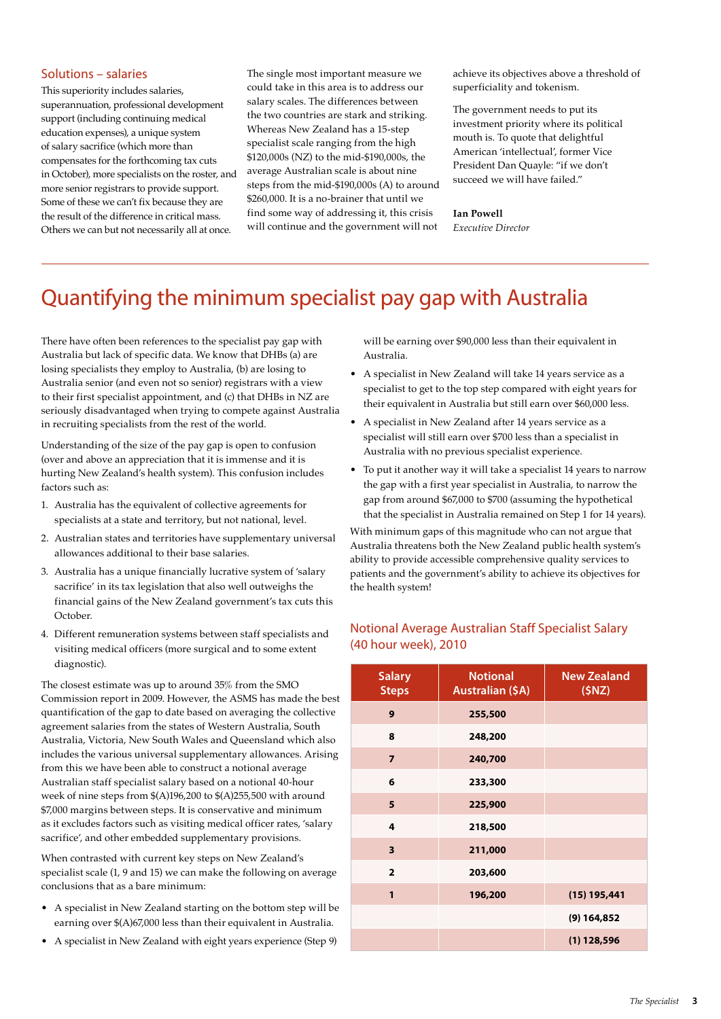#### Solutions – salaries

This superiority includes salaries, superannuation, professional development support (including continuing medical education expenses), a unique system of salary sacrifice (which more than compensates for the forthcoming tax cuts in October), more specialists on the roster, and more senior registrars to provide support. Some of these we can't fix because they are the result of the difference in critical mass. Others we can but not necessarily all at once.

The single most important measure we could take in this area is to address our salary scales. The differences between the two countries are stark and striking. Whereas New Zealand has a 15-step specialist scale ranging from the high \$120,000s (NZ) to the mid-\$190,000s, the average Australian scale is about nine steps from the mid-\$190,000s (A) to around \$260,000. It is a no-brainer that until we find some way of addressing it, this crisis will continue and the government will not

achieve its objectives above a threshold of superficiality and tokenism.

The government needs to put its investment priority where its political mouth is. To quote that delightful American 'intellectual', former Vice President Dan Quayle: "if we don't succeed we will have failed."

#### **Ian Powell**

*Executive Director*

### Quantifying the minimum specialist pay gap with Australia

There have often been references to the specialist pay gap with Australia but lack of specific data. We know that DHBs (a) are losing specialists they employ to Australia, (b) are losing to Australia senior (and even not so senior) registrars with a view to their first specialist appointment, and (c) that DHBs in NZ are seriously disadvantaged when trying to compete against Australia in recruiting specialists from the rest of the world.

Understanding of the size of the pay gap is open to confusion (over and above an appreciation that it is immense and it is hurting New Zealand's health system). This confusion includes factors such as:

- 1. Australia has the equivalent of collective agreements for specialists at a state and territory, but not national, level.
- 2. Australian states and territories have supplementary universal allowances additional to their base salaries.
- 3. Australia has a unique financially lucrative system of 'salary sacrifice' in its tax legislation that also well outweighs the financial gains of the New Zealand government's tax cuts this October.
- 4. Different remuneration systems between staff specialists and visiting medical officers (more surgical and to some extent diagnostic).

The closest estimate was up to around 35% from the SMO Commission report in 2009. However, the ASMS has made the best quantification of the gap to date based on averaging the collective agreement salaries from the states of Western Australia, South Australia, Victoria, New South Wales and Queensland which also includes the various universal supplementary allowances. Arising from this we have been able to construct a notional average Australian staff specialist salary based on a notional 40-hour week of nine steps from \$(A)196,200 to \$(A)255,500 with around \$7,000 margins between steps. It is conservative and minimum as it excludes factors such as visiting medical officer rates, 'salary sacrifice', and other embedded supplementary provisions.

When contrasted with current key steps on New Zealand's specialist scale (1, 9 and 15) we can make the following on average conclusions that as a bare minimum:

- • A specialist in New Zealand starting on the bottom step will be earning over \$(A)67,000 less than their equivalent in Australia.
- • A specialist in New Zealand with eight years experience (Step 9)

will be earning over \$90,000 less than their equivalent in Australia.

- • A specialist in New Zealand will take 14 years service as a specialist to get to the top step compared with eight years for their equivalent in Australia but still earn over \$60,000 less.
- • A specialist in New Zealand after 14 years service as a specialist will still earn over \$700 less than a specialist in Australia with no previous specialist experience.
- • To put it another way it will take a specialist 14 years to narrow the gap with a first year specialist in Australia, to narrow the gap from around \$67,000 to \$700 (assuming the hypothetical that the specialist in Australia remained on Step 1 for 14 years).

With minimum gaps of this magnitude who can not argue that Australia threatens both the New Zealand public health system's ability to provide accessible comprehensive quality services to patients and the government's ability to achieve its objectives for the health system!

#### Notional Average Australian Staff Specialist Salary (40 hour week), 2010

| <b>Salary</b><br><b>Steps</b> | <b>Notional</b><br><b>Australian (\$A)</b> | <b>New Zealand</b><br>(SNZ) |
|-------------------------------|--------------------------------------------|-----------------------------|
| 9                             | 255,500                                    |                             |
| 8                             | 248,200                                    |                             |
| $\overline{7}$                | 240,700                                    |                             |
| 6                             | 233,300                                    |                             |
| 5                             | 225,900                                    |                             |
| 4                             | 218,500                                    |                             |
| 3                             | 211,000                                    |                             |
| $\overline{2}$                | 203,600                                    |                             |
| 1                             | 196,200                                    | (15) 195,441                |
|                               |                                            | $(9)$ 164,852               |
|                               |                                            | $(1)$ 128,596               |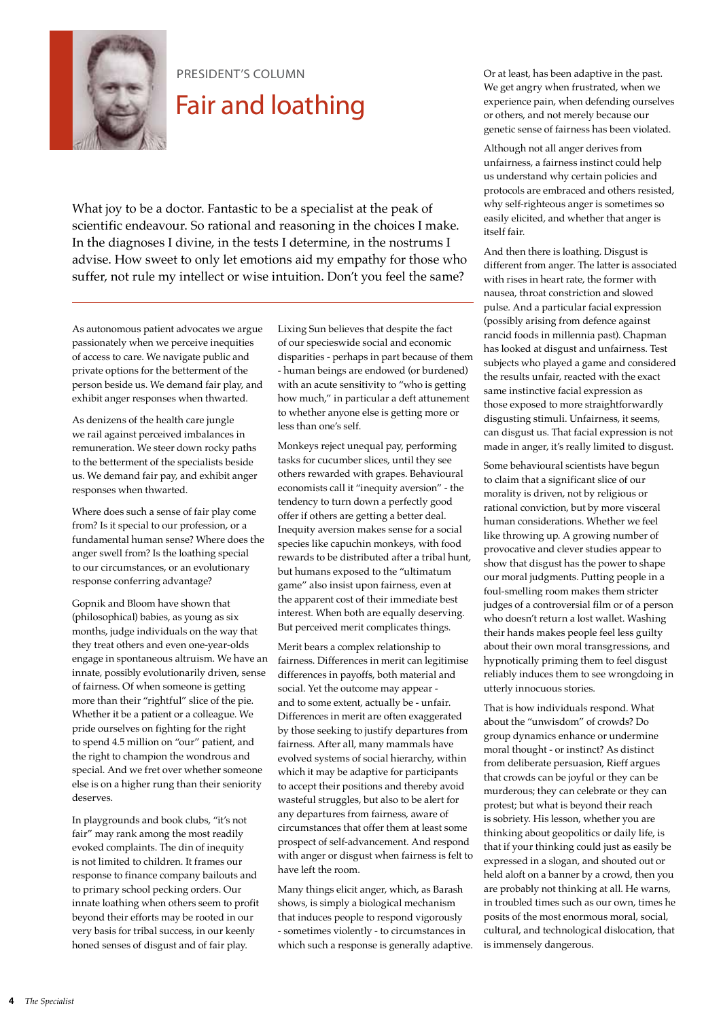

### Fair and loathing

What joy to be a doctor. Fantastic to be a specialist at the peak of scientific endeavour. So rational and reasoning in the choices I make. In the diagnoses I divine, in the tests I determine, in the nostrums I advise. How sweet to only let emotions aid my empathy for those who suffer, not rule my intellect or wise intuition. Don't you feel the same?

As autonomous patient advocates we argue passionately when we perceive inequities of access to care. We navigate public and private options for the betterment of the person beside us. We demand fair play, and exhibit anger responses when thwarted.

As denizens of the health care jungle we rail against perceived imbalances in remuneration. We steer down rocky paths to the betterment of the specialists beside us. We demand fair pay, and exhibit anger responses when thwarted.

Where does such a sense of fair play come from? Is it special to our profession, or a fundamental human sense? Where does the anger swell from? Is the loathing special to our circumstances, or an evolutionary response conferring advantage?

Gopnik and Bloom have shown that (philosophical) babies, as young as six months, judge individuals on the way that they treat others and even one-year-olds engage in spontaneous altruism. We have an innate, possibly evolutionarily driven, sense of fairness. Of when someone is getting more than their "rightful" slice of the pie. Whether it be a patient or a colleague. We pride ourselves on fighting for the right to spend 4.5 million on "our" patient, and the right to champion the wondrous and special. And we fret over whether someone else is on a higher rung than their seniority deserves.

In playgrounds and book clubs, "it's not fair" may rank among the most readily evoked complaints. The din of inequity is not limited to children. It frames our response to finance company bailouts and to primary school pecking orders. Our innate loathing when others seem to profit beyond their efforts may be rooted in our very basis for tribal success, in our keenly honed senses of disgust and of fair play.

Lixing Sun believes that despite the fact of our specieswide social and economic disparities - perhaps in part because of them - human beings are endowed (or burdened) with an acute sensitivity to "who is getting how much," in particular a deft attunement to whether anyone else is getting more or less than one's self.

Monkeys reject unequal pay, performing tasks for cucumber slices, until they see others rewarded with grapes. Behavioural economists call it "inequity aversion" - the tendency to turn down a perfectly good offer if others are getting a better deal. Inequity aversion makes sense for a social species like capuchin monkeys, with food rewards to be distributed after a tribal hunt, but humans exposed to the "ultimatum game" also insist upon fairness, even at the apparent cost of their immediate best interest. When both are equally deserving. But perceived merit complicates things.

Merit bears a complex relationship to fairness. Differences in merit can legitimise differences in payoffs, both material and social. Yet the outcome may appear and to some extent, actually be - unfair. Differences in merit are often exaggerated by those seeking to justify departures from fairness. After all, many mammals have evolved systems of social hierarchy, within which it may be adaptive for participants to accept their positions and thereby avoid wasteful struggles, but also to be alert for any departures from fairness, aware of circumstances that offer them at least some prospect of self-advancement. And respond with anger or disgust when fairness is felt to have left the room.

Many things elicit anger, which, as Barash shows, is simply a biological mechanism that induces people to respond vigorously - sometimes violently - to circumstances in which such a response is generally adaptive.

PRESIDENT'S COLUMN Or at least, has been adaptive in the past. We get angry when frustrated, when we experience pain, when defending ourselves or others, and not merely because our genetic sense of fairness has been violated.

> Although not all anger derives from unfairness, a fairness instinct could help us understand why certain policies and protocols are embraced and others resisted, why self-righteous anger is sometimes so easily elicited, and whether that anger is itself fair.

And then there is loathing. Disgust is different from anger. The latter is associated with rises in heart rate, the former with nausea, throat constriction and slowed pulse. And a particular facial expression (possibly arising from defence against rancid foods in millennia past). Chapman has looked at disgust and unfairness. Test subjects who played a game and considered the results unfair, reacted with the exact same instinctive facial expression as those exposed to more straightforwardly disgusting stimuli. Unfairness, it seems, can disgust us. That facial expression is not made in anger, it's really limited to disgust.

Some behavioural scientists have begun to claim that a significant slice of our morality is driven, not by religious or rational conviction, but by more visceral human considerations. Whether we feel like throwing up. A growing number of provocative and clever studies appear to show that disgust has the power to shape our moral judgments. Putting people in a foul-smelling room makes them stricter judges of a controversial film or of a person who doesn't return a lost wallet. Washing their hands makes people feel less guilty about their own moral transgressions, and hypnotically priming them to feel disgust reliably induces them to see wrongdoing in utterly innocuous stories.

That is how individuals respond. What about the "unwisdom" of crowds? Do group dynamics enhance or undermine moral thought - or instinct? As distinct from deliberate persuasion, Rieff argues that crowds can be joyful or they can be murderous; they can celebrate or they can protest; but what is beyond their reach is sobriety. His lesson, whether you are thinking about geopolitics or daily life, is that if your thinking could just as easily be expressed in a slogan, and shouted out or held aloft on a banner by a crowd, then you are probably not thinking at all. He warns, in troubled times such as our own, times he posits of the most enormous moral, social, cultural, and technological dislocation, that is immensely dangerous.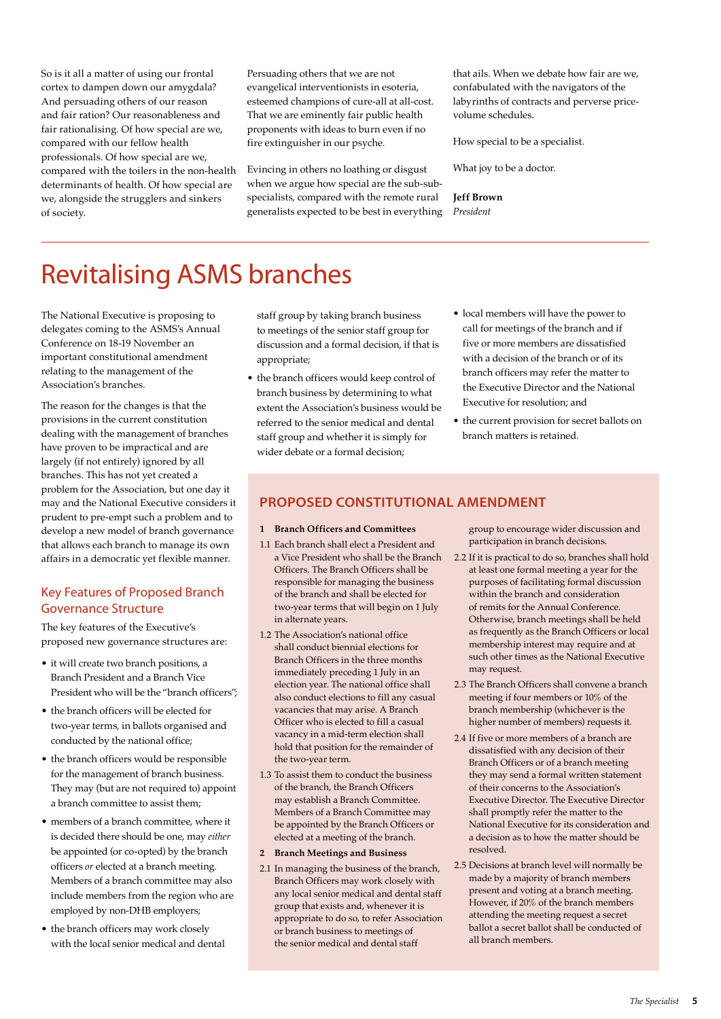So is it all a matter of using our frontal cortex to dampen down our amygdala? And persuading others of our reason and fair ration? Our reasonableness and fair rationalising. Of how special are we, compared with our fellow health professionals. Of how special are we, compared with the toilers in the non-health determinants of health. Of how special are we, alongside the strugglers and sinkers of society.

Persuading others that we are not evangelical interventionists in esoteria, esteemed champions of cure-all at all-cost. That we are eminently fair public health proponents with ideas to burn even if no fire extinguisher in our psyche.

Evincing in others no loathing or disgust when we argue how special are the sub-subspecialists, compared with the remote rural generalists expected to be best in everything

that ails. When we debate how fair are we, confabulated with the navigators of the labyrinths of contracts and perverse pricevolume schedules.

How special to be a specialist.

What joy to be a doctor.

**Jeff Brown** *President*

### Revitalising ASMS branches

The National Executive is proposing to delegates coming to the ASMS's Annual Conference on 18-19 November an important constitutional amendment relating to the management of the Association's branches.

The reason for the changes is that the provisions in the current constitution dealing with the management of branches have proven to be impractical and are largely (if not entirely) ignored by all branches. This has not yet created a problem for the Association, but one day it may and the National Executive considers it prudent to pre-empt such a problem and to develop a new model of branch governance that allows each branch to manage its own affairs in a democratic yet flexible manner.

#### Key Features of Proposed Branch Governance Structure

The key features of the Executive's proposed new governance structures are:

- it will create two branch positions, a Branch President and a Branch Vice President who will be the "branch officers";
- the branch officers will be elected for two-year terms, in ballots organised and conducted by the national office;
- the branch officers would be responsible for the management of branch business. They may (but are not required to) appoint a branch committee to assist them;
- members of a branch committee, where it is decided there should be one, may *either* be appointed (or co-opted) by the branch officers *or* elected at a branch meeting. Members of a branch committee may also include members from the region who are employed by non-DHB employers;
- the branch officers may work closely with the local senior medical and dental

staff group by taking branch business to meetings of the senior staff group for discussion and a formal decision, if that is appropriate;

- the branch officers would keep control of branch business by determining to what extent the Association's business would be referred to the senior medical and dental staff group and whether it is simply for wider debate or a formal decision;
- local members will have the power to call for meetings of the branch and if five or more members are dissatisfied with a decision of the branch or of its branch officers may refer the matter to the Executive Director and the National Executive for resolution; and
- the current provision for secret ballots on branch matters is retained.

#### **PROPOSED CONSTITUTIONAL AMENDMENT**

#### **1 Branch Officers and Committees**

- 1.1 Each branch shall elect a President and a Vice President who shall be the Branch Officers. The Branch Officers shall be responsible for managing the business of the branch and shall be elected for two-year terms that will begin on 1 July in alternate years.
- 1.2 The Association's national office shall conduct biennial elections for Branch Officers in the three months immediately preceding 1 July in an election year. The national office shall also conduct elections to fill any casual vacancies that may arise. A Branch Officer who is elected to fill a casual vacancy in a mid-term election shall hold that position for the remainder of the two-year term.
- 1.3 To assist them to conduct the business of the branch, the Branch Officers may establish a Branch Committee. Members of a Branch Committee may be appointed by the Branch Officers or elected at a meeting of the branch.
- **2 Branch Meetings and Business**
- 2.1 In managing the business of the branch, Branch Officers may work closely with any local senior medical and dental staff group that exists and, whenever it is appropriate to do so, to refer Association or branch business to meetings of the senior medical and dental staff

group to encourage wider discussion and participation in branch decisions.

- 2.2 If it is practical to do so, branches shall hold at least one formal meeting a year for the purposes of facilitating formal discussion within the branch and consideration of remits for the Annual Conference. Otherwise, branch meetings shall be held as frequently as the Branch Officers or local membership interest may require and at such other times as the National Executive may request.
- 2.3 The Branch Officers shall convene a branch meeting if four members or 10% of the branch membership (whichever is the higher number of members) requests it.
- 2.4 If five or more members of a branch are dissatisfied with any decision of their Branch Officers or of a branch meeting they may send a formal written statement of their concerns to the Association's Executive Director. The Executive Director shall promptly refer the matter to the National Executive for its consideration and a decision as to how the matter should be resolved.
- 2.5 Decisions at branch level will normally be made by a majority of branch members present and voting at a branch meeting. However, if 20% of the branch members attending the meeting request a secret ballot a secret ballot shall be conducted of all branch members.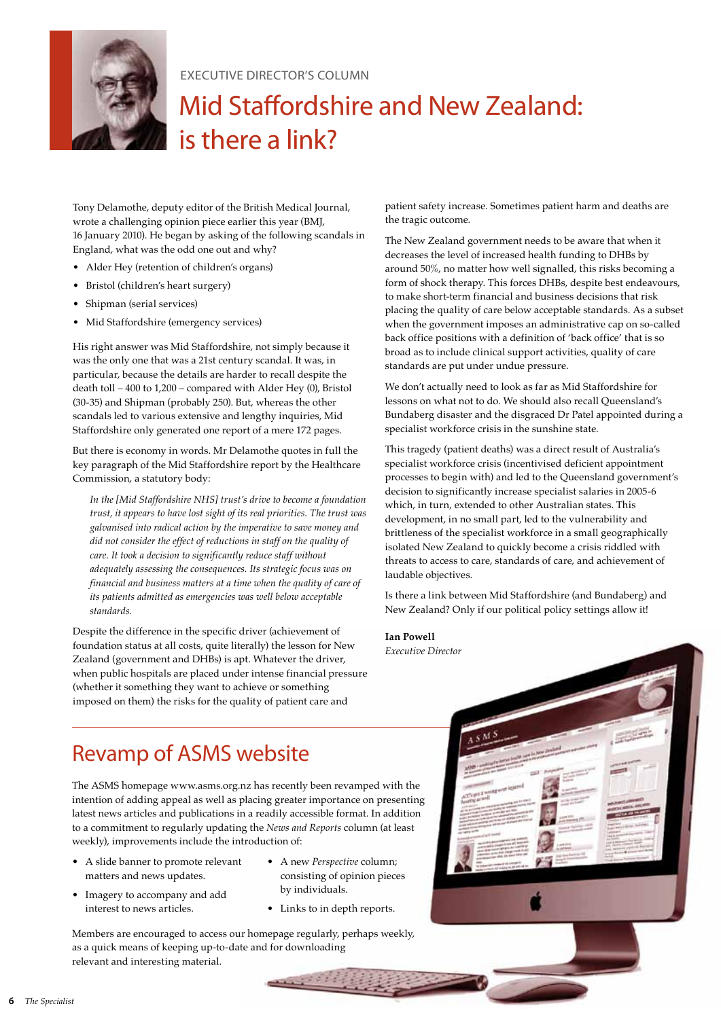

#### EXECUTIVE DIRECTOR's Column

### Mid Staffordshire and New Zealand: is there a link?

Tony Delamothe, deputy editor of the British Medical Journal, wrote a challenging opinion piece earlier this year (BMJ, 16 January 2010). He began by asking of the following scandals in England, what was the odd one out and why?

- • Alder Hey (retention of children's organs)
- • Bristol (children's heart surgery)
- Shipman (serial services)
- • Mid Staffordshire (emergency services)

His right answer was Mid Staffordshire, not simply because it was the only one that was a 21st century scandal. It was, in particular, because the details are harder to recall despite the death toll – 400 to 1,200 – compared with Alder Hey (0), Bristol (30-35) and Shipman (probably 250). But, whereas the other scandals led to various extensive and lengthy inquiries, Mid Staffordshire only generated one report of a mere 172 pages.

But there is economy in words. Mr Delamothe quotes in full the key paragraph of the Mid Staffordshire report by the Healthcare Commission, a statutory body:

*In the [Mid Staffordshire NHS] trust's drive to become a foundation trust, it appears to have lost sight of its real priorities. The trust was galvanised into radical action by the imperative to save money and did not consider the effect of reductions in staff on the quality of care. It took a decision to significantly reduce staff without adequately assessing the consequences. Its strategic focus was on financial and business matters at a time when the quality of care of its patients admitted as emergencies was well below acceptable standards.*

Despite the difference in the specific driver (achievement of foundation status at all costs, quite literally) the lesson for New Zealand (government and DHBs) is apt. Whatever the driver, when public hospitals are placed under intense financial pressure (whether it something they want to achieve or something imposed on them) the risks for the quality of patient care and

patient safety increase. Sometimes patient harm and deaths are the tragic outcome.

The New Zealand government needs to be aware that when it decreases the level of increased health funding to DHBs by around 50%, no matter how well signalled, this risks becoming a form of shock therapy. This forces DHBs, despite best endeavours, to make short-term financial and business decisions that risk placing the quality of care below acceptable standards. As a subset when the government imposes an administrative cap on so-called back office positions with a definition of 'back office' that is so broad as to include clinical support activities, quality of care standards are put under undue pressure.

We don't actually need to look as far as Mid Staffordshire for lessons on what not to do. We should also recall Queensland's Bundaberg disaster and the disgraced Dr Patel appointed during a specialist workforce crisis in the sunshine state.

This tragedy (patient deaths) was a direct result of Australia's specialist workforce crisis (incentivised deficient appointment processes to begin with) and led to the Queensland government's decision to significantly increase specialist salaries in 2005-6 which, in turn, extended to other Australian states. This development, in no small part, led to the vulnerability and brittleness of the specialist workforce in a small geographically isolated New Zealand to quickly become a crisis riddled with threats to access to care, standards of care, and achievement of laudable objectives.

Is there a link between Mid Staffordshire (and Bundaberg) and New Zealand? Only if our political policy settings allow it!

**Ian Powell** *Executive Director*

### Revamp of ASMS website

The ASMS homepage www.asms.org.nz has recently been revamped with the intention of adding appeal as well as placing greater importance on presenting latest news articles and publications in a readily accessible format. In addition to a commitment to regularly updating the *News and Reports* column (at least weekly), improvements include the introduction of:

- • A slide banner to promote relevant matters and news updates.
- • Imagery to accompany and add interest to news articles.
- • A new *Perspective* column; consisting of opinion pieces by individuals.
- • Links to in depth reports.

Members are encouraged to access our homepage regularly, perhaps weekly, as a quick means of keeping up-to-date and for downloading relevant and interesting material.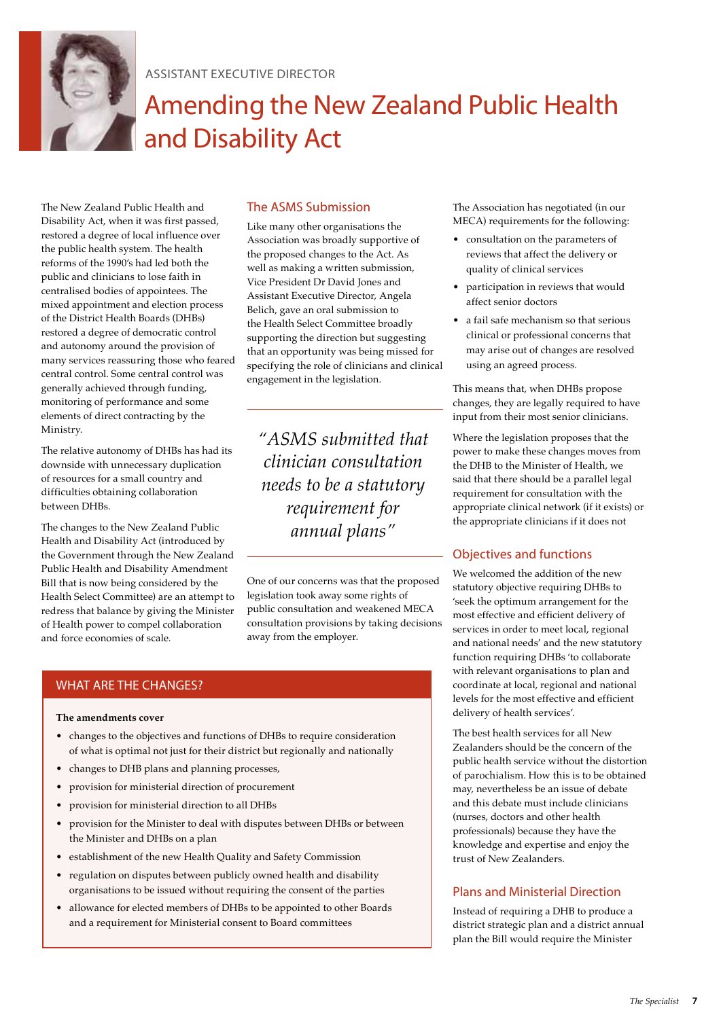

Assistant EXECUTIVE DIRECTOR

### Amending the New Zealand Public Health and Disability Act

The New Zealand Public Health and Disability Act, when it was first passed, restored a degree of local influence over the public health system. The health reforms of the 1990's had led both the public and clinicians to lose faith in centralised bodies of appointees. The mixed appointment and election process of the District Health Boards (DHBs) restored a degree of democratic control and autonomy around the provision of many services reassuring those who feared central control. Some central control was generally achieved through funding, monitoring of performance and some elements of direct contracting by the Ministry.

The relative autonomy of DHBs has had its downside with unnecessary duplication of resources for a small country and difficulties obtaining collaboration between DHBs.

The changes to the New Zealand Public Health and Disability Act (introduced by the Government through the New Zealand Public Health and Disability Amendment Bill that is now being considered by the Health Select Committee) are an attempt to redress that balance by giving the Minister of Health power to compel collaboration and force economies of scale.

#### The ASMS Submission

Like many other organisations the Association was broadly supportive of the proposed changes to the Act. As well as making a written submission, Vice President Dr David Jones and Assistant Executive Director, Angela Belich, gave an oral submission to the Health Select Committee broadly supporting the direction but suggesting that an opportunity was being missed for specifying the role of clinicians and clinical engagement in the legislation.

*"ASMS submitted that clinician consultation needs to be a statutory requirement for annual plans"*

One of our concerns was that the proposed legislation took away some rights of public consultation and weakened MECA consultation provisions by taking decisions away from the employer.

#### WHAT ARE THE CHANGES?

#### **The amendments cover**

- changes to the objectives and functions of DHBs to require consideration of what is optimal not just for their district but regionally and nationally
- • changes to DHB plans and planning processes,
- provision for ministerial direction of procurement
- provision for ministerial direction to all DHBs
- provision for the Minister to deal with disputes between DHBs or between the Minister and DHBs on a plan
- establishment of the new Health Quality and Safety Commission
- regulation on disputes between publicly owned health and disability organisations to be issued without requiring the consent of the parties
- allowance for elected members of DHBs to be appointed to other Boards and a requirement for Ministerial consent to Board committees

The Association has negotiated (in our MECA) requirements for the following:

- • consultation on the parameters of reviews that affect the delivery or quality of clinical services
- participation in reviews that would affect senior doctors
- • a fail safe mechanism so that serious clinical or professional concerns that may arise out of changes are resolved using an agreed process.

This means that, when DHBs propose changes, they are legally required to have input from their most senior clinicians.

Where the legislation proposes that the power to make these changes moves from the DHB to the Minister of Health, we said that there should be a parallel legal requirement for consultation with the appropriate clinical network (if it exists) or the appropriate clinicians if it does not

#### Objectives and functions

We welcomed the addition of the new statutory objective requiring DHBs to 'seek the optimum arrangement for the most effective and efficient delivery of services in order to meet local, regional and national needs' and the new statutory function requiring DHBs 'to collaborate with relevant organisations to plan and coordinate at local, regional and national levels for the most effective and efficient delivery of health services'.

The best health services for all New Zealanders should be the concern of the public health service without the distortion of parochialism. How this is to be obtained may, nevertheless be an issue of debate and this debate must include clinicians (nurses, doctors and other health professionals) because they have the knowledge and expertise and enjoy the trust of New Zealanders.

#### Plans and Ministerial Direction

Instead of requiring a DHB to produce a district strategic plan and a district annual plan the Bill would require the Minister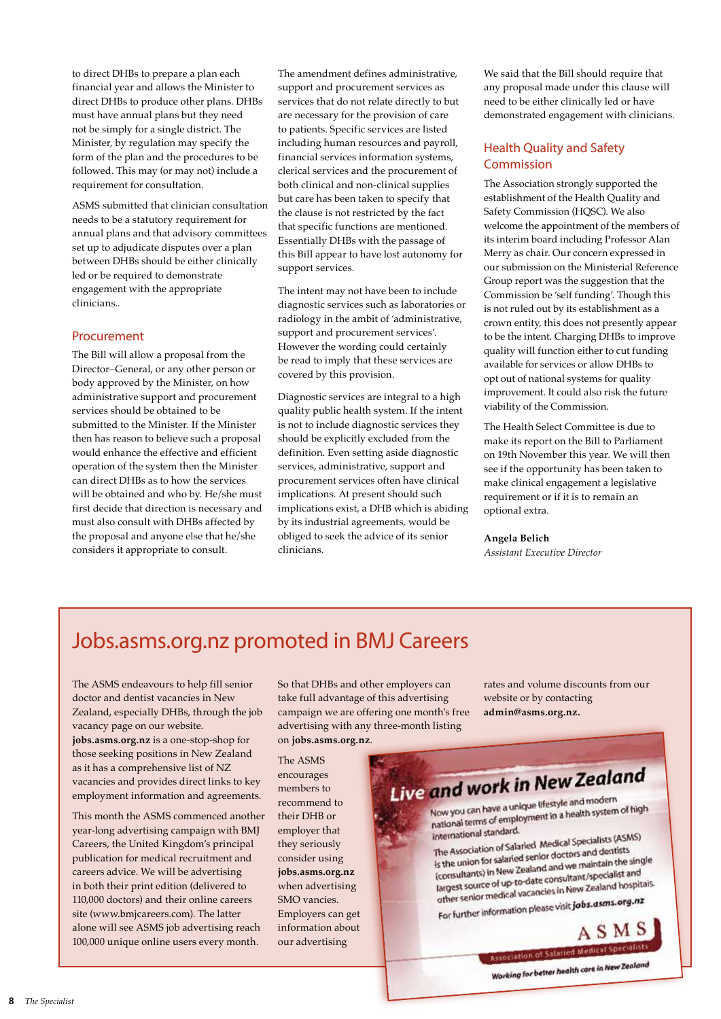to direct DHBs to prepare a plan each financial year and allows the Minister to direct DHBs to produce other plans. DHBs must have annual plans but they need not be simply for a single district. The Minister, by regulation may specify the form of the plan and the procedures to be followed. This may (or may not) include a requirement for consultation.

ASMS submitted that clinician consultation needs to be a statutory requirement for annual plans and that advisory committees set up to adjudicate disputes over a plan between DHBs should be either clinically led or be required to demonstrate engagement with the appropriate clinicians..

#### Procurement

The Bill will allow a proposal from the Director–General, or any other person or body approved by the Minister, on how administrative support and procurement services should be obtained to be submitted to the Minister. If the Minister then has reason to believe such a proposal would enhance the effective and efficient operation of the system then the Minister can direct DHBs as to how the services will be obtained and who by. He/she must first decide that direction is necessary and must also consult with DHBs affected by the proposal and anyone else that he/she considers it appropriate to consult.

The amendment defines administrative, support and procurement services as services that do not relate directly to but are necessary for the provision of care to patients. Specific services are listed including human resources and payroll, financial services information systems, clerical services and the procurement of both clinical and non-clinical supplies but care has been taken to specify that the clause is not restricted by the fact that specific functions are mentioned. Essentially DHBs with the passage of this Bill appear to have lost autonomy for support services.

The intent may not have been to include diagnostic services such as laboratories or radiology in the ambit of 'administrative, support and procurement services'. However the wording could certainly be read to imply that these services are covered by this provision.

Diagnostic services are integral to a high quality public health system. If the intent is not to include diagnostic services they should be explicitly excluded from the definition. Even setting aside diagnostic services, administrative, support and procurement services often have clinical implications. At present should such implications exist, a DHB which is abiding by its industrial agreements, would be obliged to seek the advice of its senior clinicians.

We said that the Bill should require that any proposal made under this clause will need to be either clinically led or have demonstrated engagement with clinicians.

#### Health Quality and Safety Commission

The Association strongly supported the establishment of the Health Quality and Safety Commission (HQSC). We also welcome the appointment of the members of its interim board including Professor Alan Merry as chair. Our concern expressed in our submission on the Ministerial Reference Group report was the suggestion that the Commission be 'self funding'. Though this is not ruled out by its establishment as a crown entity, this does not presently appear to be the intent. Charging DHBs to improve quality will function either to cut funding available for services or allow DHBs to opt out of national systems for quality improvement. It could also risk the future viability of the Commission.

The Health Select Committee is due to make its report on the Bill to Parliament on 19th November this year. We will then see if the opportunity has been taken to make clinical engagement a legislative requirement or if it is to remain an optional extra.

#### **Angela Belich**

*Assistant Executive Director*

### Jobs.asms.org.nz promoted in BMJ Careers

The ASMS endeavours to help fill senior doctor and dentist vacancies in New Zealand, especially DHBs, through the job vacancy page on our website. **jobs.asms.org.nz** is a one-stop-shop for

those seeking positions in New Zealand as it has a comprehensive list of NZ vacancies and provides direct links to key employment information and agreements.

This month the ASMS commenced another year-long advertising campaign with BMJ Careers, the United Kingdom's principal publication for medical recruitment and careers advice. We will be advertising in both their print edition (delivered to 110,000 doctors) and their online careers site (www.bmjcareers.com). The latter alone will see ASMS job advertising reach 100,000 unique online users every month.

So that DHBs and other employers can take full advantage of this advertising campaign we are offering one month's free advertising with any three-month listing on **jobs.asms.org.nz**.

The ASMS encourages members to recommend to their DHB or employer that they seriously consider using **jobs.asms.org.nz**  when advertising SMO vancies. Employers can get information about our advertising

rates and volume discounts from our website or by contacting **admin@asms.org.nz.**

## Live and work in New Zealand

Now you can have a unique lifestyle and modern Now you can have a unique lifestyle and modern<br>national terms of employment in a health system of high<br>national terms of employment in a health system of high international standard.

international standard.<br>The Association of Salaried Medical Specialists (ASMS) The Association of Salaried Medical Specialists<br>is the union for salaried senior doctors and dentists<br>is the union for salaried senior doctors and the s The Association for salaried senior doctors and dentists<br>is the union for salaried senior doctors and dentists<br>(consultants) in New Zealand and we maintain the single Is the union of the W Zealand and we maintain the angles (consultants) in New Zealand and we maintain the angles<br>largest source of up-to-date consultant/specialist and (consultants)<br>largest source of up-to-date consultant/specialist and<br>other senior medical vacancies in New Zealand hospitals.

other senior medical vacancies in them.

ASMS Association of Salaried Medical Specialists

**NSSOCIATION OF STATE**<br>Working for better health care in New Zealand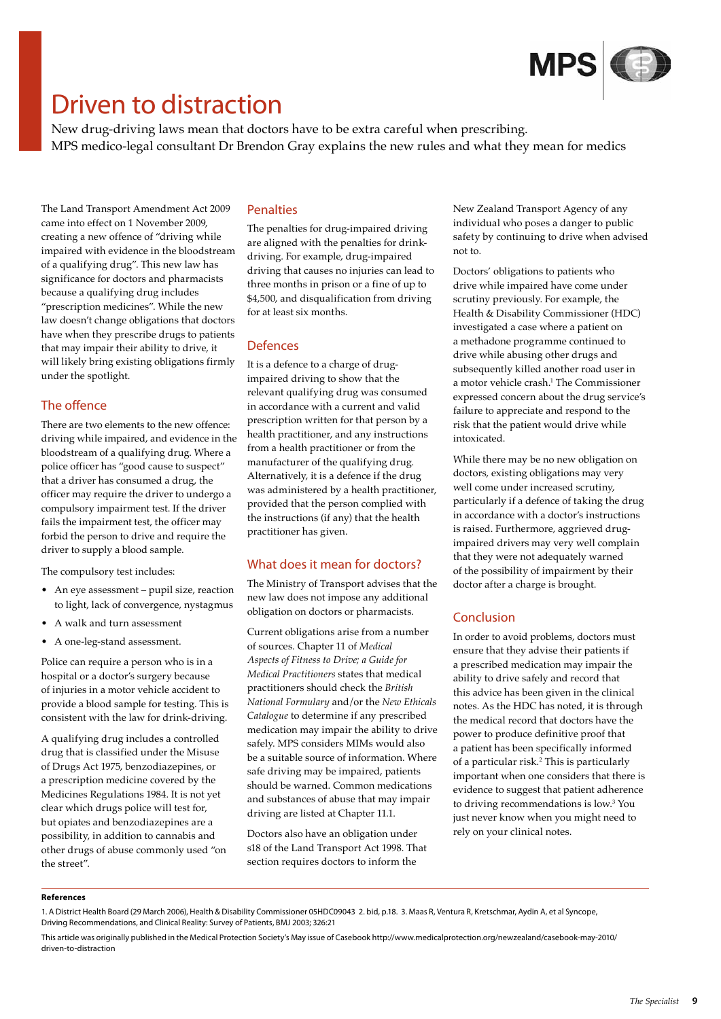

### Driven to distraction

New drug-driving laws mean that doctors have to be extra careful when prescribing. MPS medico-legal consultant Dr Brendon Gray explains the new rules and what they mean for medics

The Land Transport Amendment Act 2009 came into effect on 1 November 2009, creating a new offence of "driving while impaired with evidence in the bloodstream of a qualifying drug". This new law has significance for doctors and pharmacists because a qualifying drug includes "prescription medicines". While the new law doesn't change obligations that doctors have when they prescribe drugs to patients that may impair their ability to drive, it will likely bring existing obligations firmly under the spotlight.

#### The offence

There are two elements to the new offence: driving while impaired, and evidence in the bloodstream of a qualifying drug. Where a police officer has "good cause to suspect" that a driver has consumed a drug, the officer may require the driver to undergo a compulsory impairment test. If the driver fails the impairment test, the officer may forbid the person to drive and require the driver to supply a blood sample.

The compulsory test includes:

- An eye assessment pupil size, reaction to light, lack of convergence, nystagmus
- • A walk and turn assessment
- • A one-leg-stand assessment.

Police can require a person who is in a hospital or a doctor's surgery because of injuries in a motor vehicle accident to provide a blood sample for testing. This is consistent with the law for drink-driving.

A qualifying drug includes a controlled drug that is classified under the Misuse of Drugs Act 1975, benzodiazepines, or a prescription medicine covered by the Medicines Regulations 1984. It is not yet clear which drugs police will test for, but opiates and benzodiazepines are a possibility, in addition to cannabis and other drugs of abuse commonly used "on the street".

#### Penalties

The penalties for drug-impaired driving are aligned with the penalties for drinkdriving. For example, drug-impaired driving that causes no injuries can lead to three months in prison or a fine of up to \$4,500, and disqualification from driving for at least six months.

#### Defences

It is a defence to a charge of drugimpaired driving to show that the relevant qualifying drug was consumed in accordance with a current and valid prescription written for that person by a health practitioner, and any instructions from a health practitioner or from the manufacturer of the qualifying drug. Alternatively, it is a defence if the drug was administered by a health practitioner, provided that the person complied with the instructions (if any) that the health practitioner has given.

#### What does it mean for doctors?

The Ministry of Transport advises that the new law does not impose any additional obligation on doctors or pharmacists.

Current obligations arise from a number of sources. Chapter 11 of *Medical Aspects of Fitness to Drive; a Guide for Medical Practitioners* states that medical practitioners should check the *British National Formulary* and/or the *New Ethicals Catalogue* to determine if any prescribed medication may impair the ability to drive safely. MPS considers MIMs would also be a suitable source of information. Where safe driving may be impaired, patients should be warned. Common medications and substances of abuse that may impair driving are listed at Chapter 11.1.

Doctors also have an obligation under s18 of the Land Transport Act 1998. That section requires doctors to inform the

New Zealand Transport Agency of any individual who poses a danger to public safety by continuing to drive when advised not to.

Doctors' obligations to patients who drive while impaired have come under scrutiny previously. For example, the Health & Disability Commissioner (HDC) investigated a case where a patient on a methadone programme continued to drive while abusing other drugs and subsequently killed another road user in a motor vehicle crash.1 The Commissioner expressed concern about the drug service's failure to appreciate and respond to the risk that the patient would drive while intoxicated.

While there may be no new obligation on doctors, existing obligations may very well come under increased scrutiny, particularly if a defence of taking the drug in accordance with a doctor's instructions is raised. Furthermore, aggrieved drugimpaired drivers may very well complain that they were not adequately warned of the possibility of impairment by their doctor after a charge is brought.

#### Conclusion

In order to avoid problems, doctors must ensure that they advise their patients if a prescribed medication may impair the ability to drive safely and record that this advice has been given in the clinical notes. As the HDC has noted, it is through the medical record that doctors have the power to produce definitive proof that a patient has been specifically informed of a particular risk.2 This is particularly important when one considers that there is evidence to suggest that patient adherence to driving recommendations is low.3 You just never know when you might need to rely on your clinical notes.

#### **References**

<sup>1.</sup> A District Health Board (29 March 2006), Health & Disability Commissioner 05HDC09043 2. bid, p.18. 3. Maas R, Ventura R, Kretschmar, Aydin A, et al Syncope, Driving Recommendations, and Clinical Reality: Survey of Patients, BMJ 2003; 326:21

This article was originally published in the Medical Protection Society's May issue of Casebook http://www.medicalprotection.org/newzealand/casebook-may-2010/ driven-to-distraction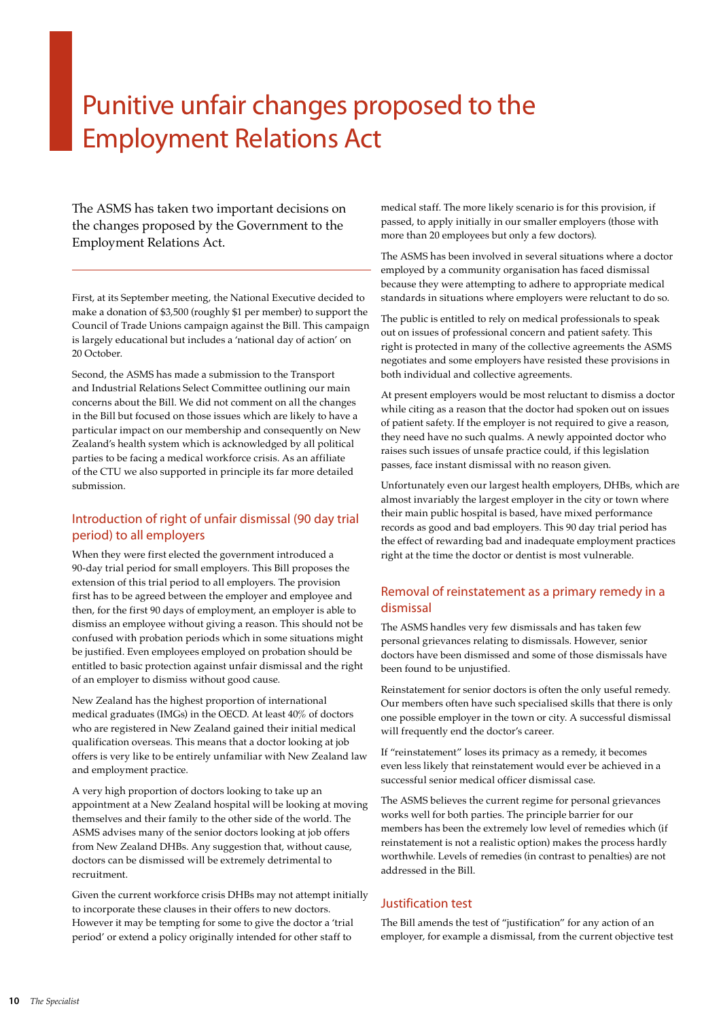### Punitive unfair changes proposed to the Employment Relations Act

The ASMS has taken two important decisions on the changes proposed by the Government to the Employment Relations Act.

First, at its September meeting, the National Executive decided to make a donation of \$3,500 (roughly \$1 per member) to support the Council of Trade Unions campaign against the Bill. This campaign is largely educational but includes a 'national day of action' on 20 October.

Second, the ASMS has made a submission to the Transport and Industrial Relations Select Committee outlining our main concerns about the Bill. We did not comment on all the changes in the Bill but focused on those issues which are likely to have a particular impact on our membership and consequently on New Zealand's health system which is acknowledged by all political parties to be facing a medical workforce crisis. As an affiliate of the CTU we also supported in principle its far more detailed submission.

#### Introduction of right of unfair dismissal (90 day trial period) to all employers

When they were first elected the government introduced a 90-day trial period for small employers. This Bill proposes the extension of this trial period to all employers. The provision first has to be agreed between the employer and employee and then, for the first 90 days of employment, an employer is able to dismiss an employee without giving a reason. This should not be confused with probation periods which in some situations might be justified. Even employees employed on probation should be entitled to basic protection against unfair dismissal and the right of an employer to dismiss without good cause.

New Zealand has the highest proportion of international medical graduates (IMGs) in the OECD. At least 40% of doctors who are registered in New Zealand gained their initial medical qualification overseas. This means that a doctor looking at job offers is very like to be entirely unfamiliar with New Zealand law and employment practice.

A very high proportion of doctors looking to take up an appointment at a New Zealand hospital will be looking at moving themselves and their family to the other side of the world. The ASMS advises many of the senior doctors looking at job offers from New Zealand DHBs. Any suggestion that, without cause, doctors can be dismissed will be extremely detrimental to recruitment.

Given the current workforce crisis DHBs may not attempt initially to incorporate these clauses in their offers to new doctors. However it may be tempting for some to give the doctor a 'trial period' or extend a policy originally intended for other staff to

medical staff. The more likely scenario is for this provision, if passed, to apply initially in our smaller employers (those with more than 20 employees but only a few doctors).

The ASMS has been involved in several situations where a doctor employed by a community organisation has faced dismissal because they were attempting to adhere to appropriate medical standards in situations where employers were reluctant to do so.

The public is entitled to rely on medical professionals to speak out on issues of professional concern and patient safety. This right is protected in many of the collective agreements the ASMS negotiates and some employers have resisted these provisions in both individual and collective agreements.

At present employers would be most reluctant to dismiss a doctor while citing as a reason that the doctor had spoken out on issues of patient safety. If the employer is not required to give a reason, they need have no such qualms. A newly appointed doctor who raises such issues of unsafe practice could, if this legislation passes, face instant dismissal with no reason given.

Unfortunately even our largest health employers, DHBs, which are almost invariably the largest employer in the city or town where their main public hospital is based, have mixed performance records as good and bad employers. This 90 day trial period has the effect of rewarding bad and inadequate employment practices right at the time the doctor or dentist is most vulnerable.

#### Removal of reinstatement as a primary remedy in a dismissal

The ASMS handles very few dismissals and has taken few personal grievances relating to dismissals. However, senior doctors have been dismissed and some of those dismissals have been found to be unjustified.

Reinstatement for senior doctors is often the only useful remedy. Our members often have such specialised skills that there is only one possible employer in the town or city. A successful dismissal will frequently end the doctor's career.

If "reinstatement" loses its primacy as a remedy, it becomes even less likely that reinstatement would ever be achieved in a successful senior medical officer dismissal case.

The ASMS believes the current regime for personal grievances works well for both parties. The principle barrier for our members has been the extremely low level of remedies which (if reinstatement is not a realistic option) makes the process hardly worthwhile. Levels of remedies (in contrast to penalties) are not addressed in the Bill.

#### Justification test

The Bill amends the test of "justification" for any action of an employer, for example a dismissal, from the current objective test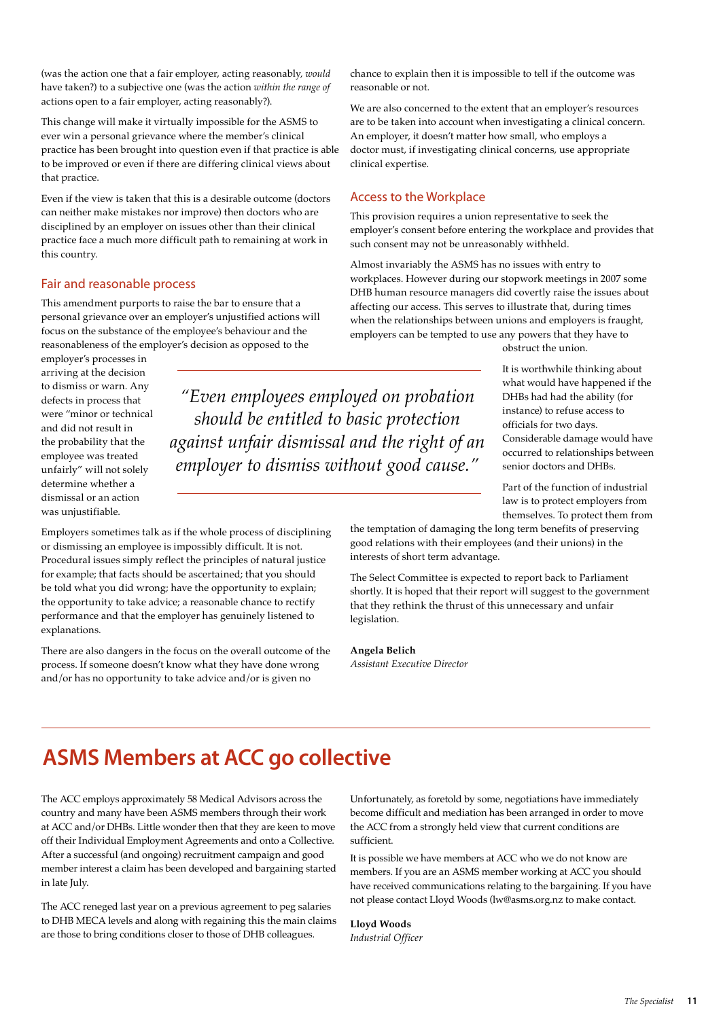(was the action one that a fair employer, acting reasonably*, would* have taken?) to a subjective one (was the action *within the range of*  actions open to a fair employer, acting reasonably?).

This change will make it virtually impossible for the ASMS to ever win a personal grievance where the member's clinical practice has been brought into question even if that practice is able to be improved or even if there are differing clinical views about that practice.

Even if the view is taken that this is a desirable outcome (doctors can neither make mistakes nor improve) then doctors who are disciplined by an employer on issues other than their clinical practice face a much more difficult path to remaining at work in this country.

#### Fair and reasonable process

This amendment purports to raise the bar to ensure that a personal grievance over an employer's unjustified actions will focus on the substance of the employee's behaviour and the reasonableness of the employer's decision as opposed to the

employer's processes in arriving at the decision to dismiss or warn. Any defects in process that were "minor or technical and did not result in the probability that the employee was treated unfairly" will not solely determine whether a dismissal or an action was unjustifiable.

Employers sometimes talk as if the whole process of disciplining or dismissing an employee is impossibly difficult. It is not. Procedural issues simply reflect the principles of natural justice for example; that facts should be ascertained; that you should be told what you did wrong; have the opportunity to explain; the opportunity to take advice; a reasonable chance to rectify performance and that the employer has genuinely listened to explanations.

There are also dangers in the focus on the overall outcome of the process. If someone doesn't know what they have done wrong and/or has no opportunity to take advice and/or is given no

chance to explain then it is impossible to tell if the outcome was reasonable or not.

We are also concerned to the extent that an employer's resources are to be taken into account when investigating a clinical concern. An employer, it doesn't matter how small, who employs a doctor must, if investigating clinical concerns, use appropriate clinical expertise.

#### Access to the Workplace

This provision requires a union representative to seek the employer's consent before entering the workplace and provides that such consent may not be unreasonably withheld.

Almost invariably the ASMS has no issues with entry to workplaces. However during our stopwork meetings in 2007 some DHB human resource managers did covertly raise the issues about affecting our access. This serves to illustrate that, during times when the relationships between unions and employers is fraught, employers can be tempted to use any powers that they have to

obstruct the union.

*"Even employees employed on probation should be entitled to basic protection against unfair dismissal and the right of an employer to dismiss without good cause."*

It is worthwhile thinking about what would have happened if the DHBs had had the ability (for instance) to refuse access to officials for two days. Considerable damage would have occurred to relationships between senior doctors and DHBs.

Part of the function of industrial law is to protect employers from themselves. To protect them from

the temptation of damaging the long term benefits of preserving good relations with their employees (and their unions) in the interests of short term advantage.

The Select Committee is expected to report back to Parliament shortly. It is hoped that their report will suggest to the government that they rethink the thrust of this unnecessary and unfair legislation.

**Angela Belich** *Assistant Executive Director*

### **ASMS Members at ACC go collective**

The ACC employs approximately 58 Medical Advisors across the country and many have been ASMS members through their work at ACC and/or DHBs. Little wonder then that they are keen to move off their Individual Employment Agreements and onto a Collective. After a successful (and ongoing) recruitment campaign and good member interest a claim has been developed and bargaining started in late July.

The ACC reneged last year on a previous agreement to peg salaries to DHB MECA levels and along with regaining this the main claims are those to bring conditions closer to those of DHB colleagues.

Unfortunately, as foretold by some, negotiations have immediately become difficult and mediation has been arranged in order to move the ACC from a strongly held view that current conditions are sufficient.

It is possible we have members at ACC who we do not know are members. If you are an ASMS member working at ACC you should have received communications relating to the bargaining. If you have not please contact Lloyd Woods (lw@asms.org.nz to make contact.

**Lloyd Woods** *Industrial Officer*